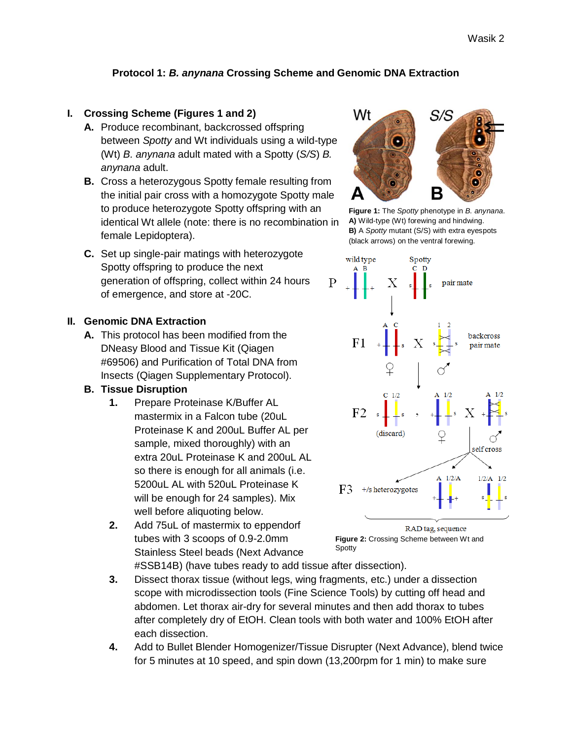# **Protocol 1:** *B. anynana* **Crossing Scheme and Genomic DNA Extraction**

#### **I. Crossing Scheme (Figures 1 and 2)**

- **A.** Produce recombinant, backcrossed offspring between *Spotty* and Wt individuals using a wild-type (Wt) *B. anynana* adult mated with a Spotty (*S/S*) *B. anynana* adult.
- **B.** Cross a heterozygous Spotty female resulting from the initial pair cross with a homozygote Spotty male to produce heterozygote Spotty offspring with an identical Wt allele (note: there is no recombination in female Lepidoptera).
- **C.** Set up single-pair matings with heterozygote Spotty offspring to produce the next generation of offspring, collect within 24 hours of emergence, and store at -20C.

#### **II. Genomic DNA Extraction**

**A.** This protocol has been modified from the DNeasy Blood and Tissue Kit (Qiagen #69506) and Purification of Total DNA from Insects (Qiagen Supplementary Protocol).

#### **B. Tissue Disruption**

- **1.** Prepare Proteinase K/Buffer AL mastermix in a Falcon tube (20uL Proteinase K and 200uL Buffer AL per sample, mixed thoroughly) with an extra 20uL Proteinase K and 200uL AL so there is enough for all animals (i.e. 5200uL AL with 520uL Proteinase K will be enough for 24 samples). Mix well before aliquoting below.
- **2.** Add 75uL of mastermix to eppendorf tubes with 3 scoops of 0.9-2.0mm Stainless Steel beads (Next Advance



**Figure 1:** The *Spotty* phenotype in *B. anynana*. **A)** Wild-type (Wt) forewing and hindwing. **B)** A *Spotty* mutant (S/S) with extra eyespots (black arrows) on the ventral forewing.



**Figure 2:** Crossing Scheme between Wt and Spotty

#SSB14B) (have tubes ready to add tissue after dissection).

- **3.** Dissect thorax tissue (without legs, wing fragments, etc.) under a dissection scope with microdissection tools (Fine Science Tools) by cutting off head and abdomen. Let thorax air-dry for several minutes and then add thorax to tubes after completely dry of EtOH. Clean tools with both water and 100% EtOH after each dissection.
- **4.** Add to Bullet Blender Homogenizer/Tissue Disrupter (Next Advance), blend twice for 5 minutes at 10 speed, and spin down (13,200rpm for 1 min) to make sure